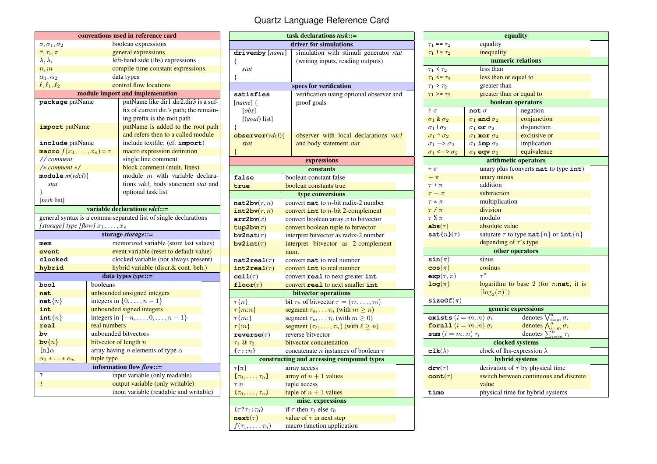## Quartz Language Reference Card

|                                                          |                                                 | conventions used in reference card                              |  |  |
|----------------------------------------------------------|-------------------------------------------------|-----------------------------------------------------------------|--|--|
| $\sigma$ , $\sigma$ <sub>1</sub> , $\sigma$ <sub>2</sub> |                                                 | boolean expressions                                             |  |  |
| $\tau, \tau_i, \pi$                                      |                                                 | general expressions                                             |  |  |
| $\lambda, \lambda_i$                                     |                                                 | left-hand side (lhs) expressions                                |  |  |
| n, m                                                     |                                                 | compile-time constant expressions                               |  |  |
| $\alpha_1, \alpha_2$                                     |                                                 | data types                                                      |  |  |
| $\ell, \ell_1, \ell_2$                                   |                                                 | control flow locations                                          |  |  |
| module import and implemenation                          |                                                 |                                                                 |  |  |
| package pntName                                          |                                                 | pntName like dir1.dir2.dir3 is a suf-                           |  |  |
|                                                          |                                                 | fix of current dir.'s path; the remain-                         |  |  |
|                                                          |                                                 | ing prefix is the root path                                     |  |  |
| <i>import</i> pntName                                    |                                                 | pntName is added to the root path                               |  |  |
|                                                          |                                                 | and refers then to a called module                              |  |  |
| include pntName                                          |                                                 | include textfile: (cf. <b>import</b> )                          |  |  |
| macro $f(x_1,,x_n) = \tau$                               |                                                 | macro expression definition                                     |  |  |
| // comment                                               |                                                 | single line comment                                             |  |  |
| $/* comment */$                                          |                                                 | block comment (mult. lines)                                     |  |  |
| $module$ $m(vdcl)$ {                                     |                                                 | module $m$ with variable declara-                               |  |  |
| stat                                                     |                                                 | tions vdcl, body statement stat and                             |  |  |
| ł                                                        |                                                 | optional task list                                              |  |  |
| <i>[task list]</i>                                       |                                                 |                                                                 |  |  |
|                                                          |                                                 | variable declarations vdcl::=                                   |  |  |
|                                                          |                                                 | general syntax is a comma-separated list of single declarations |  |  |
| [storage] type [flow] $x_1, \ldots, x_n$                 |                                                 |                                                                 |  |  |
|                                                          |                                                 | storage storage::=                                              |  |  |
| mem                                                      |                                                 | memorized variable (store last values)                          |  |  |
| event                                                    |                                                 | event variable (reset to default value)                         |  |  |
| clocked                                                  |                                                 | clocked variable (not always present)                           |  |  |
| hybrid                                                   |                                                 | hybrid variable (discr.& cont. beh.)                            |  |  |
|                                                          |                                                 | data types $type ::=$                                           |  |  |
| bool                                                     | booleans                                        |                                                                 |  |  |
| nat                                                      | unbounded unsigned integers                     |                                                                 |  |  |
| $\texttt{nat}{\{n\}}$                                    | integers in $\{0, \ldots, n-1\}$                |                                                                 |  |  |
| int                                                      | unbounded signed integers                       |                                                                 |  |  |
| $\texttt{int}{\{n\}}$                                    | integers in $\{-n, \ldots, 0, \ldots, n-1\}$    |                                                                 |  |  |
| real                                                     | real numbers                                    |                                                                 |  |  |
| bv                                                       | unbounded bitvectors                            |                                                                 |  |  |
| bv $\{n\}$                                               | bitvector of length $n$                         |                                                                 |  |  |
| $\ln \alpha$                                             | array having <i>n</i> elements of type $\alpha$ |                                                                 |  |  |
| $\alpha_1 * \ldots * \alpha_n$                           | tuple type                                      |                                                                 |  |  |
|                                                          |                                                 | information flow $flow ::=$                                     |  |  |
| ?                                                        |                                                 | input variable (only readable)                                  |  |  |
| Ţ                                                        |                                                 | output variable (only writable)                                 |  |  |
|                                                          |                                                 | inout variable (readable and writable)                          |  |  |

| task declarations task::=                                 |                                                                |  |
|-----------------------------------------------------------|----------------------------------------------------------------|--|
|                                                           | driver for simulations                                         |  |
| drivenby [name]<br>simulation with stimuli generator stat |                                                                |  |
| ł                                                         | (writing inputs, reading outputs)                              |  |
| stat                                                      |                                                                |  |
| ł                                                         |                                                                |  |
|                                                           | specs for verification                                         |  |
| verification using optional observer and<br>satisfies     |                                                                |  |
| $[name]$ {                                                | proof goals                                                    |  |
| [obs]                                                     |                                                                |  |
| $[(goal)$ list]                                           |                                                                |  |
| ł                                                         |                                                                |  |
| $\mathbf{observer}(\mathit{vdcl})\{$                      | observer with local declarations vdcl                          |  |
| stat                                                      | and body statement stat                                        |  |
| $\mathcal{E}$                                             |                                                                |  |
|                                                           | expressions                                                    |  |
|                                                           | constants                                                      |  |
| false                                                     | boolean constant false                                         |  |
| true                                                      | boolean constants true                                         |  |
|                                                           | type conversions                                               |  |
| $\texttt{nat2bv}(\tau,n)$                                 | convert nat to $n$ -bit radix-2 number                         |  |
| $\texttt{int2bv}(\tau,n)$                                 | convert $\text{int}$ to <i>n</i> -bit 2-complement             |  |
| $\texttt{arr2bv}(x)$                                      | convert boolean array $x$ to bitvector                         |  |
| tup2bv $(\tau)$                                           | convert boolean tuple to bitvector                             |  |
| $\textbf{bv2nat}(\tau)$                                   | interpret bitvector as radix-2 number                          |  |
| $bv2int(\tau)$                                            | interpret bitvector as 2-complement                            |  |
|                                                           | num.                                                           |  |
| $\texttt{nat2real}(\tau)$                                 | convert nat to real number                                     |  |
| int2real $(\tau)$                                         | convert int to real number                                     |  |
| $ceil(\tau)$                                              | convert real to next greater int                               |  |
| floor $(\tau)$<br>convert real to next smaller int        |                                                                |  |
|                                                           | bitvector operations                                           |  |
| $\tau\{n\}$                                               | bit $\tau_n$ of bityector $\tau = (\tau_\ell, \ldots, \tau_0)$ |  |
| $\tau\{m:n\}$                                             | segment $\tau_m \dots \tau_n$ (with $m \geq n$ )               |  |
| $\tau\{m:\}$                                              | segment $\tau_m \dots \tau_0$ (with $m > 0$ )                  |  |
| $\tau\{ : n\}$                                            | segment $(\tau_\ell, \ldots, \tau_n)$ (with $\ell \geq n$ )    |  |
| reverse $(\tau)$                                          | reverse bitvector                                              |  |
| $\tau_1 \ @ \tau_2$                                       | bityector concatenation                                        |  |
| $\{\tau : n\}$                                            | concatenate <i>n</i> instances of boolean $\tau$               |  |
|                                                           | constructing and accessing compound types                      |  |
| $\tau[\pi]$                                               | array access                                                   |  |
| $[\tau_0,\ldots,\tau_n]$                                  | array of $n + 1$ values                                        |  |
| $\tau.n$                                                  | tuple access                                                   |  |
| $(\tau_0,\ldots,\tau_n)$                                  | tuple of $n + 1$ values                                        |  |
|                                                           | misc. expressions                                              |  |
| $(\tau ? \tau_1 : \tau_0)$                                | if $\tau$ then $\tau_1$ else $\tau_0$                          |  |
| $next(\tau)$                                              | value of $\tau$ in next step                                   |  |
| $f(\tau_1,\ldots,\tau_n)$                                 | macro function application                                     |  |

| equality                                   |                             |                                                                  |                                                                         |  |  |  |
|--------------------------------------------|-----------------------------|------------------------------------------------------------------|-------------------------------------------------------------------------|--|--|--|
| $\tau_1 == \tau_2$                         | equality                    |                                                                  |                                                                         |  |  |  |
| inequality<br>$\tau_1$ ! = $\tau_2$        |                             |                                                                  |                                                                         |  |  |  |
| numeric relations                          |                             |                                                                  |                                                                         |  |  |  |
| $\tau_1$ < $\tau_2$                        | less than                   |                                                                  |                                                                         |  |  |  |
| $\tau_1$ <= $\tau_2$                       |                             | less than or equal to                                            |                                                                         |  |  |  |
| $\tau_1 > \tau_2$                          |                             | greater than                                                     |                                                                         |  |  |  |
| $\tau_1$ >= $\tau_2$                       | greater than or equal to    |                                                                  |                                                                         |  |  |  |
|                                            |                             | boolean operators                                                |                                                                         |  |  |  |
| $\mathsf{!} \; \sigma$<br>not $\sigma$     |                             |                                                                  | negation                                                                |  |  |  |
| $\sigma_1$ & $\sigma_2$                    | $\sigma_1$ and $\sigma_2$   |                                                                  | conjunction                                                             |  |  |  |
| $\sigma_1$   $\sigma_2$                    | $\sigma_1$ or $\sigma_2$    |                                                                  | disjunction                                                             |  |  |  |
| $\sigma_1 \uparrow \sigma_2$               | $\sigma_1$ xor $\sigma_2$   |                                                                  | exclusive or                                                            |  |  |  |
| $\sigma_1 \rightarrow \sigma_2$            |                             | $\sigma_1$ imp $\sigma_2$                                        | implication                                                             |  |  |  |
| $\sigma_1 \leftarrow \rightarrow \sigma_2$ |                             | $\sigma_1$ eqv $\sigma_2$                                        | equivalence                                                             |  |  |  |
|                                            |                             | arithmetic operators                                             |                                                                         |  |  |  |
| $+ \pi$                                    |                             |                                                                  | unary plus (converts nat to type int)                                   |  |  |  |
| $-\pi$                                     |                             | unary minus                                                      |                                                                         |  |  |  |
| $\tau$ + $\pi$                             |                             | addition                                                         |                                                                         |  |  |  |
| $\tau - \pi$                               |                             | subtraction                                                      |                                                                         |  |  |  |
| $\tau * \pi$                               |                             | multiplication                                                   |                                                                         |  |  |  |
| $\tau / \pi$                               |                             | division                                                         |                                                                         |  |  |  |
| $\tau$ % $\pi$                             |                             | modulo                                                           |                                                                         |  |  |  |
| $abs(\tau)$                                |                             | absolute value                                                   |                                                                         |  |  |  |
| $\texttt{sat}{\{n\}}(\tau)$                |                             | saturate $\tau$ to type <b>nat</b> $\{n\}$ or <b>int</b> $\{n\}$ |                                                                         |  |  |  |
| depending of $\tau$ 's type                |                             |                                                                  |                                                                         |  |  |  |
|                                            |                             | other operators                                                  |                                                                         |  |  |  |
| $\mathtt{sin}(\pi)$                        |                             | sinus                                                            |                                                                         |  |  |  |
| $cos(\pi)$                                 | cosinus                     |                                                                  |                                                                         |  |  |  |
| exp $(\tau,\pi)$                           |                             | $\tau^{\pi}$                                                     |                                                                         |  |  |  |
| $log(\pi)$                                 |                             |                                                                  | logarithm to base 2 (for $\pi$ :nat, it is                              |  |  |  |
|                                            | $\lceil \log_2(\pi) \rceil$ |                                                                  |                                                                         |  |  |  |
| $\texttt{sizeOf}(\pi)$                     |                             |                                                                  |                                                                         |  |  |  |
| generic expressions                        |                             |                                                                  |                                                                         |  |  |  |
| exists $(i = m  n) \sigma_i$               |                             |                                                                  | denotes $\bigvee_{i=m}^{n} \sigma_i$                                    |  |  |  |
| forall $(i = m.n) \sigma_i$                |                             |                                                                  | denotes $\frac{\bigwedge_{i=m}^{n} \sigma_i}{\prod_{i=m}^{n} \sigma_i}$ |  |  |  |
| $sum(i = m.n) \tau_i$                      |                             |                                                                  | denotes $\sum_{i=m}^{n} \tau_i$                                         |  |  |  |
| clocked systems                            |                             |                                                                  |                                                                         |  |  |  |
| $\mathtt{clk}(\lambda)$                    |                             | clock of lhs-expression $\lambda$                                |                                                                         |  |  |  |
|                                            |                             | hybrid systems                                                   |                                                                         |  |  |  |
| $\texttt{drv}(\tau)$                       |                             | derivation of $\tau$ by physical time                            |                                                                         |  |  |  |
| $\textbf{cont}(\tau)$                      |                             | switch between continuous and discrete                           |                                                                         |  |  |  |
|                                            |                             | value                                                            |                                                                         |  |  |  |
| time                                       |                             | physical time for hybrid systems                                 |                                                                         |  |  |  |